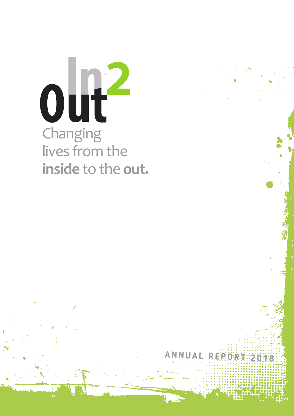

**ANNUA <sup>L</sup> RE <sup>P</sup> ORT <sup>2</sup> <sup>0</sup> <sup>1</sup> <sup>8</sup>**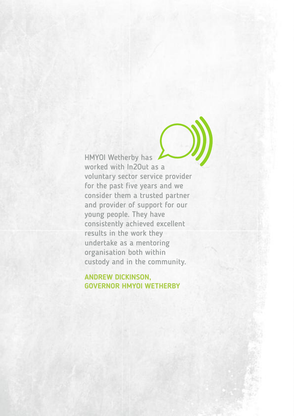HMYOI Wetherby has worked with In2Out as a voluntary sector service provider for the past five years and we consider them a trusted partner and provider of support for our young people. They have consistently achieved excellent results in the work they undertake as a mentoring organisation both within custody and in the community.

#### **ANDREW DICKINSON, GOVERNOR HMYOI WETHERBY**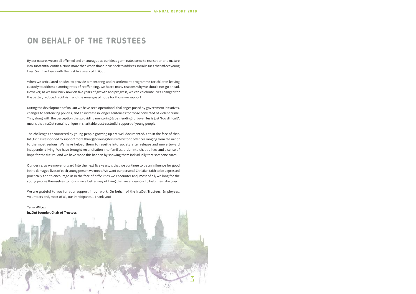3

### **ON BEHALF OF THE TRUSTEES**

By our nature, we are all affirmed and encouraged as our ideas germinate, come to realisation and mature into substantial entities. None more than when those ideas seek to address social issues that affect young lives. So it has been with the first five years of In2Out.

When we articulated an idea to provide a mentoring and resettlement programme for children leaving custody to address alarming rates of reoffending, we heard many reasons why we should not go ahead. However, as we look back now on five years of growth and progress, we can celebrate lives changed for the better, reduced recidivism and the message of hope for those we support.

During the development of In2Out we have seen operational challenges posed by government initiatives, changes to sentencing policies, and an increase in longer sentences for those convicted of violent crime. This, along with the perception that providing mentoring & befriending for juveniles is just 'too difficult', means that In2Out remains unique in charitable post-custodial support of young people.

The challenges encountered by young people growing up are well documented. Yet, in the face of that, In2Out has responded to support more than 350 youngsters with historic offences ranging from the minor to the most serious. We have helped them to resettle into society after release and move toward independent living. We have brought reconciliation into families, order into chaotic lives and a sense of hope for the future. And we have made this happen by showing them individually that someone cares.

Our desire, as we move forward into the next five years, is that we continue to be an influence for good in the damaged lives of each young person we meet. We want our personal Christian faith to be expressed practically and to encourage us in the face of difficulties we encounter and, most of all, we long for the young people themselves to flourish in a better way of living that we endeavour to help them discover.

We are grateful to you for your support in our work. On behalf of the In2Out Trustees, Employees, Volunteers and, most of all, our Participants…Thank you!

**Terry Wilcox In2Out founder, Chair of Trustees**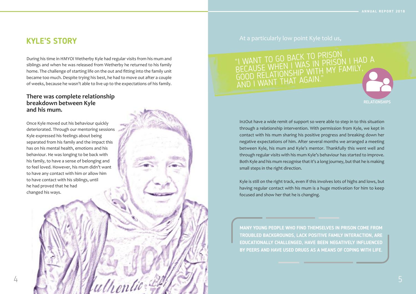### At a particularly low point Kyle told us,

In2Out have a wide remit of support so were able to step in to this situation through a relationship intervention. With permission from Kyle, we kept in contact with his mum sharing his positive progress and breaking down her negative expectations of him. After several months we arranged a meeting between Kyle, his mum and Kyle's mentor. Thankfully this went well and through regular visits with his mum Kyle's behaviour has started to improve. Both Kyle and his mum recognise that it's a long journey, but that he is making small steps in the right direction.

### "I WANT TO GO BACK TO PRISON "I WANT TO GU BALK TU FRISON I HAD A<br>BECAUSE WHEN I WAS IN PRISON I HAD A<br>BECAUSE, VILONGUID WITH MY FAMILY, BECAUSE WHEN I WAS INTI MY FAMILY,<br>GOOD RELATIONSHIP WITH MY FAMILY, AND <sup>I</sup> WANT THAT AGAIN."

Kyle is still on the right track, even if this involves lots of highs and lows, but having regular contact with his mum is a huge motivation for him to keep focused and show her that he is changing.



### **KYLE'S STORY**

During his time in HMYOI Wetherby Kyle had regular visits from his mum and siblings and when he was released from Wetherby he returned to his family home. The challenge of starting life on the out and fitting into the family unit became too much. Despite trying his best, he had to move out after a couple of weeks, because he wasn't able to live up to the expectations of his family.

### **There was complete relationship breakdown between Kyle and his mum.**

Once Kyle moved out his behaviour quickly deteriorated. Through our mentoring sessions Kyle expressed his feelings about being separated from his family and the impact this has on his mental health, emotions and his behaviour. He was longing to be back with his family, to have a sense of belonging and to feel loved. However, his mum didn't want to have any contact with him or allow him to have contact with his siblings, until he had proved that he had changed his ways.

> **MANY YOUNG PEOPLE WHO FIND THEMSELVES IN PRISON COME FROM TROUBLED BACKGROUNDS, LACK POSITIVE FAMILY INTERACTION, ARE EDUCATIONALLY CHALLENGED, HAVE BEEN NEGATIVELY INFLUENCED BY PEERS AND HAVE USED DRUGS AS A MEANS OF COPING WITH LIFE.**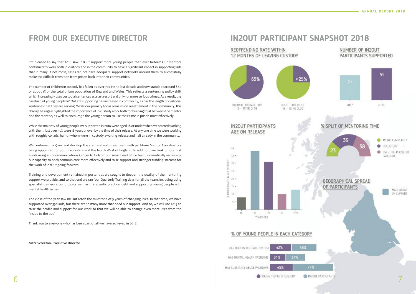NUMBER OF IN2OUT PARTICIPANTS SUPPORTED



2017



2018

#### % SPLIT OF MENTORING TIME







### **FROM OUR EXECUTIVE DIRECTOR**

I'm pleased to say that 2018 saw In2Out support more young people than ever before! Our mentors continued to work both in custody and in the community to have a significant impact in supporting lads that in many, if not most, cases did not have adequate support networks around them to successfully make the difficult transition from prison back into their communities.

The number of children in custody has fallen by over 70% in the last decade and now stands at around 860 or about 1% of the total prison population of England and Wales. This reflects a sentencing policy shift which increasingly uses custodial sentences as a last resort and only for more serious crimes. As a result, the caseload of young people In2Out are supporting has increased in complexity, as has the length of custodial sentences that they are serving. While our primary focus remains on resettlement in the community, this change has again highlighted the importance ofin-custody work both for building trust between the mentor and the mentee, as well to encourage the young person to use their time in prison most effectively.

While the majority of young people we supported in 2018 were aged 18 or under when we started working with them, just over 50% were 18 years or over by the time of their release. At any one time we were working with roughly 50 lads, half of whom were in custody awaiting release and half already in the community.

We continued to grow and develop the staff and volunteer team with part-time Mentor Coordinators being appointed for South Yorkshire and the North West of England. In addition, we took on our first Fundraising and Communications Officer to bolster our small head office team, dramatically increasing our capacity to both communicate more effectively and raise support and stronger funding streams for the work of In2Out going forward.

Training and development remained important as we sought to deepen the quality of the mentoring support we provide, and to that end we ran four Quarterly Training days for all the team, including using specialist trainers around topics such as therapeutic practice, debt and supporting young people with mental health issues.

The close of the year saw In2Out reach the milestone of 5 years of changing lives. In that time, we have supported over 350 lads, but there are so many more that need our support. And so, we will use 2019 to raise the profile and support for our work so that we will be able to change even more lives from the 'inside to the out'.

Thank you to everyone who has been part of all we have achieved in 2018!

**Mark Screeton, Executive Director**

### **IN2OUT PARTICIPANT SNAPSHOT 2018**

#### REOFFENDING RATE WITHIN 12 MONTHS OF LEAVING CUSTODY



#### % OF YOUNG PEOPLE IN EACH CATEGORY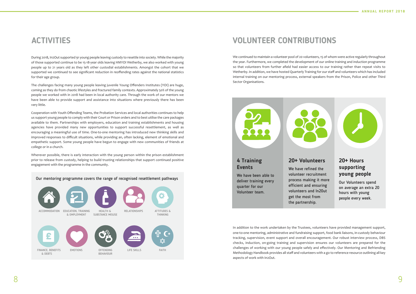

### **ACTIVITIES**

During 2018, In2Out supported 91 young people leaving custody to resettle into society. While the majority of those supported continue to be 15-18-year olds leaving HMYOI Wetherby, we also worked with young people up to 21 years old as they left other custodial establishments. Amongst the cohort that we supported we continued to see significant reduction in reoffending rates against the national statistics for their age group.

The challenges facing many young people leaving juvenile Young Offenders Institutes (YOI) are huge, coming as they do from chaotic lifestyles and fractured family contexts. Approximately 50% of the young people we worked with in 2018 had been in local authority care. Through the work of our mentors we have been able to provide support and assistance into situations where previously there has been very little.

We continued to maintain a volunteer pool of 20 volunteers, 15 of whom were active regularly throughout the year. Furthermore, we completed the development of our online training and induction programme so that volunteers from further afield had easier access to our training rather than repeat visits to Wetherby. In addition, we have hosted Quarterly Training for our staff and volunteers which has included internal training on our mentoring process, external speakers from the Prison, Police and other Third Sector Organisations.



Cooperation with Youth Offending Teams, the Probation Services and local authorities continues to help us support young people to comply with their Court or Prison orders and to best utilise the care packages available to them. Partnerships with employers, education and training establishments and housing agencies have provided many new opportunities to support successful resettlement, as well as encouraging a meaningful use of time. One-to-one mentoring has introduced new thinking skills and improved responses to difficult situations, while providing an, often lacking, element of emotional and empathetic support. Some young people have begun to engage with new communities of friends at college or in a church.

Wherever possible, there is early interaction with the young person within the prison establishment prior to release from custody, helping to build trusting relationships that support continued positive engagement with the programme in the community.

### **VOLUNTEER CONTRIBUTIONS**

In addition to the work undertaken by the Trustees, volunteers have provided management support, one-to-one mentoring, administrative and fundraising support, food bank liaisons, in-custody behaviour tracking, supervision, event support and overall encouragement. Our robust interview process, DBS checks, induction, on-going training and supervision ensures our volunteers are prepared for the challenges of working with our young people safely and effectively. Our Mentoring and Befriending Methodology Handbook provides all staff and volunteers with a go to reference resource outlining all key aspects of work with In2Out.

#### **4 Training Events**

We have been able to deliver training every quarter for our Volunteer team.

### **20+ Volunteers**

We have refined the volunteer recruitment process making it more efficient and ensuring volunteers and ln20ut get the most from the partnership.



### **20+ Hours supporting young people**

Our Volunteers spend on average an extra 20 hours with young people every week.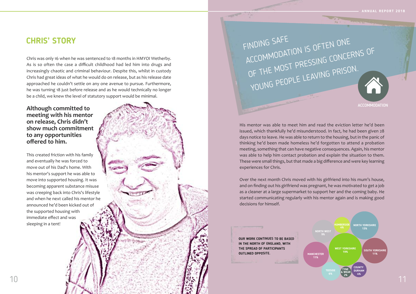### **CHRIS' STORY**

His mentor was able to meet him and read the eviction letter he'd been issued, which thankfully he'd misunderstood. In fact, he had been given 28 days notice to leave. He was able to return to the housing, but in the panic of thinking he'd been made homeless he'd forgotten to attend a probation meeting, something that can have negative consequences. Again, his mentor was able to help him contact probation and explain the situation to them. These were small things, but that made a big difference and were key learning experiences for Chris.

Over the next month Chris moved with his girlfriend into his mum's house, and on finding out his girlfriend was pregnant, he was motivated to get a job as a cleaner at a large supermarket to support her and the coming baby. He started communicating regularly with his mentor again and is making good decisions for himself.

**ACCOMMODATION** 



**OUR WORK CONTINUES TO BE BASED IN THE NORTH OF ENGLAND, WITH THE SPREAD OF PARTICIPANTS OUTLINED OPPOSITE.**

Chris was only 16 when he was sentenced to 18 months in HMYOI Wetherby. As is so often the case a difficult childhood had led him into drugs and increasingly chaotic and criminal behaviour. Despite this, whilst in custody Chris had great ideas of what he would do on release, but as his release date approached he couldn't settle on any one avenue to pursue. Furthermore, he was turning 18 just before release and as he would technically no longer be a child, we knew the level of statutory support would be minimal.

**Although committed to meeting with his mentor on release, Chris didn't show much commitment to any opportunities offered to him.**

This created friction with his family and eventually he was forced to move out of his Dad's home. With his mentor's support he was able to move into supported housing. It was becoming apparent substance misuse was creeping back into Chris's lifestyle and when he next called his mentor he announced he'd been kicked out of the supported housing with immediate effect and was sleeping in a tent!

FINDING SAFE ACCOMMODATION IS OFTEN ONE OF THE MOST PRESSING CONCERNS OF YOUNG PEOPLE LEAVING PRISON.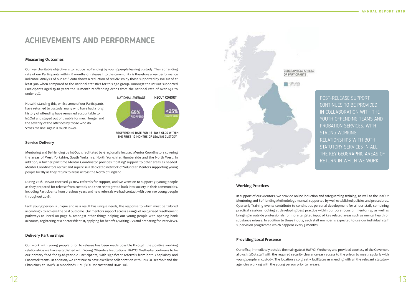### **ACHIEVEMENTS AND PERFORMANCE**

#### **Measuring Outcomes**

Our key charitable objective is to reduce reoffending by young people leaving custody. The reoffending rate of our Participants within 12 months of release into the community is therefore a key performance indicator. Analysis of our 2018 data shows a reduction of recidivism by those supported by In2Out of at least 50% when compared to the national statistics for this age group. Amongst the In2Out supported Participants aged 15-18 years the 12-month reoffending drops from the national rate of over 65% to under 25%.

Notwithstanding this, whilst some of our Participants have returned to custody, many who have had a long history of offending have remained accountable to In2Out and stayed out of trouble for much longer and the severity of the offences by those who do 'cross the line' again is much lower.

#### **Service Delivery**

Mentoring and Befriending by In2Out is facilitated by 4 regionally focused Mentor Coordinators covering the areas of West Yorkshire, South Yorkshire, North Yorkshire, Humberside and the North West. In addition, a further part-time Mentor Coordinator provides 'floating' support to other areas as needed. Mentor Coordinators recruit and supervise a dedicated network of Volunteer Mentors supporting young people locally as they return to areas across the North of England.

During 2018, In2Out received 97 new referrals for support, and we went on to support 91 young people as they prepared for release from custody and then reintegrated back into society in their communities. Including Participants from previous years and new referrals we had contact with over 140 young people throughout 2018.

Each young person is unique and as a result has unique needs, the response to which must be tailored accordingly to achieve the best outcome. Our mentors support across a range of recognised resettlement pathways as listed on page 8, amongst other things helping our young people with opening bank accounts, registering at a doctors/dentist, applying for benefits, writing CVs and preparing for interviews.

#### **Delivery Partnerships**

Our work with young people prior to release has been made possible through the positive working relationships we have established with Young Offenders Institutions. HMYOI Wetherby continues to be our primary feed for 15-18-year-old Participants, with significant referrals from both Chaplaincy and Casework teams. In addition, we continue to have excellent collaboration with HMYOI Deerbolt and the Chaplaincy at HMP/YOI Moorlands, HMP/YOI Doncaster and HMP Hull.



#### **Working Practices**

In support of our Mentors, we provide online induction and safeguarding training, as well as the In2Out Mentoring and Befriending Methodology manual, supported by well-established policies and procedures. Quarterly Training events contribute to continuous personal development for all our staff, combining practical sessions looking at developing best practice within our core focus on mentoring, as well as bringing in outside professionals for more targeted input of key related areas such as mental health or substance misuse. In addition to these inputs, each staff member is expected to use our individual staff supervision programme which happens every 3 months.

#### **Providing Local Presence**

Our office, immediately outside the main gate at HMYOI Wetherby and provided courtesy ofthe Governor, allows In2Out staff with the required security clearance easy access to the prison to meet regularly with young people in custody. The location also greatly facilitates us meeting with all the relevant statutory agencies working with the young person prior to release.



REOFFENDING RATE FOR 15-18YR OLDS WITHIN THE FIRST 12 MONTHS OF LEAVING CUSTODY

POST-RELEASE SUPPORT CONTINUES TO BE PROVIDED IN COLLABORATION WITH THE YOUTH OFFENDING TEAMS AND PROBATION SERVICES, WITH STRONG WORKING RELATIONSHIPS WITH BOTH STATUTORY SERVICES IN ALL THE KEY GEOGRAPHIC AREAS OF RETURN IN WHICH WE WORK.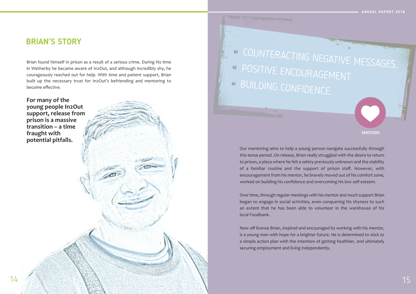### **BRIAN'S STORY**

Our mentoring aims to help a young person navigate successfully through this tense period. On release, Brian really struggled with the desire to return to prison, a place where he felt a safety previously unknown and the stability of a familiar routine and the support of prison staff. However, with encouragement from his mentor, he bravely moved out of his comfort zone, worked on building his confidence and overcoming his low self-esteem.

Over time, through regular meetings with his mentor and much support Brian began to engage in social activities, even conquering his shyness to such an extent that he has been able to volunteer in the warehouse of his local Foodbank.

<sup>O</sup> COUNTERACTING NEGATIVE MESSAGES. <sup>®</sup> POSITIVE ENCOURAGEMENT. BUILDING CONFIDENCE.



Now off license Brian, inspired and encouraged by working with his mentor, is a young man with hope for a brighter future. He is determined to stick to a simple action plan with the intention of getting healthier, and ultimately securing employment and living independently.

#### EMOTIONS

Brian found himself in prison as a result of a serious crime. During his time in Wetherby he became aware of In2Out, and although incredibly shy, he courageously reached out for help. With time and patient support, Brian built up the necessary trust for In2Out's befriending and mentoring to become effective.

**For many of the young people In2Out support, release from prison is a massive transition – a time fraught with potential pitfalls.**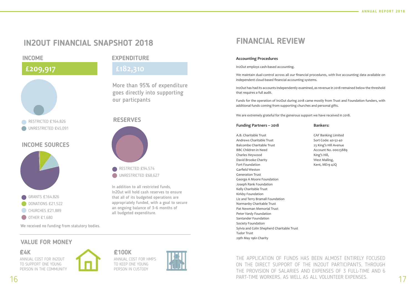In addition to all restricted funds, In2Out will hold cash reserves to ensure that all of its budgeted operations are appropriately funded, with a goal to secure an ongoing balance of 3-6 months of all budgeted expenditure.

## **FINANCIAL REVIEW**

#### **Accounting Procedures**

In2Out employs cash-based accounting.

We maintain dual-control across all our financial procedures, with live accounting data available on independent cloud-based financial accounting systems.

PART-TIME WORKERS, AS WELL AS ALL VOLUNTEER EXPENSES. THE APPLICATION OF FUNDS HAS BEEN ALMOST ENTIRELY FOCUSED ON THE DIRECT SUPPORT OF THE IN2OUT PARTICIPANTS, THROUGH THE PROVISION OF SALARIES AND EXPENSES OF 3 FULL-TIME AND 6

In2Out has had its accounts independently examined, as revenue in 2018 remained below the threshold that requires a full audit.

Funds for the operation of In2Out during 2018 came mostly from Trust and Foundation funders, with additional funds coming from supporting churches and personal gifts.

We are extremely grateful for the generous support we have received in 2018.

## **Funding Partners – 2018**

| A.B. Charitable Trust                      |
|--------------------------------------------|
| Andrews Charitable Trust                   |
| <b>Balcombe Charitable Trust</b>           |
| <b>BBC Children in Need</b>                |
| Charles Heywood                            |
| David Brooke Charity                       |
| Fort Foundation                            |
| Garfield Weston                            |
| <b>Generation Trust</b>                    |
| George A Moore Foundation                  |
| Joseph Rank Foundation                     |
| Kelly Charitable Trust                     |
| Kirkby Foundation                          |
| Liz and Terry Bramall Foundation           |
| Normanby Charitable Trust                  |
| Pat Newman Memorial Trust                  |
| Peter Vardy Foundation                     |
| Santander Foundation                       |
| Society Foundation                         |
| Sylvia and Colin Shepherd Charitable Trust |
| <b>Tudor Trust</b>                         |
| 29th May 1961 Charity                      |
|                                            |

#### **Bankers:**

CAF Banking Limited Sort Code: 40-52-40 25 King's Hill Avenue Account No. 00023889 King's Hill, West Malling, Kent, ME19 4JQ

We received no funding from statutory bodies.

# **IN2OUT FINANCIAL SNAPSHOT 2018**

**INCOME EXPENDITURE**



More than 95% of expenditure goes directly into supporting our particpants



### **RESERVES**



### **VALUE FOR MONEY**

**£4K**

ANNUAL COST FOR IN2OUT TO SUPPORT ONE YOUNG PERSON IN THE COMMUNITY



**£100K**

ANNUAL COST FOR HMPS TO KEEP ONE YOUNG PERSON IN CUSTODY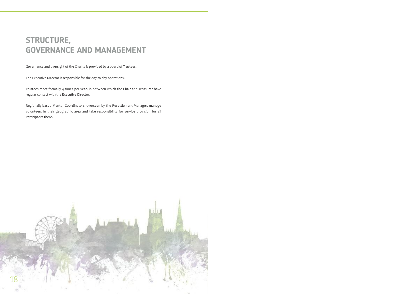# **STRUCTURE, GOVERNANCE AND MANAGEMENT**

Governance and oversight of the Charity is provided by a board of Trustees.

The Executive Director is responsible for the day-to-day operations.

Trustees meet formally 4 times per year, in between which the Chair and Treasurer have regular contact with the Executive Director.

Regionally-based Mentor Coordinators, overseen by the Resettlement Manager, manage volunteers in their geographic area and take responsibility for service provision for all Participants there.

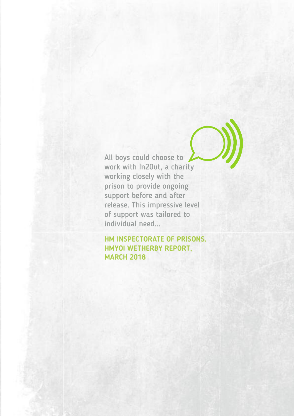All boys could choose to work with In20ut, a charity working closely with the prison to provide ongoing support before and after release. This impressive level of support was tailored to individual need...

#### **HM INSPECTORATE OF PRISONS. HMYOI WETHERBY REPORT, MARCH 2018**